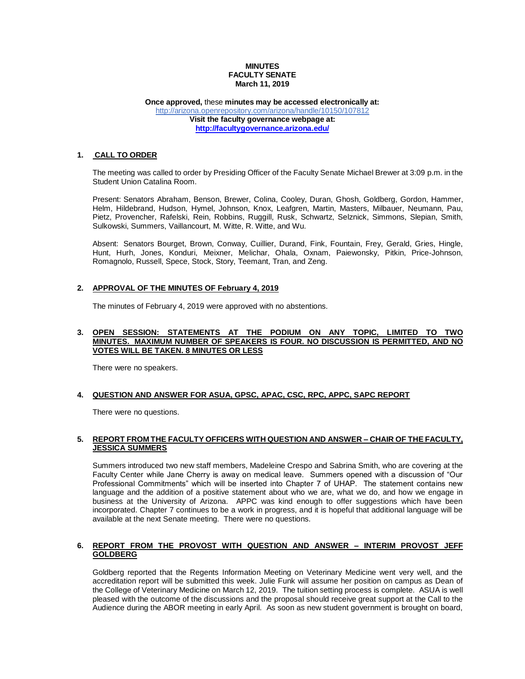## **MINUTES FACULTY SENATE March 11, 2019**

#### **Once approved,** these **minutes may be accessed electronically at:** <http://arizona.openrepository.com/arizona/handle/10150/107812> **Visit the faculty governance webpage at: <http://facultygovernance.arizona.edu/>**

## **1. CALL TO ORDER**

The meeting was called to order by Presiding Officer of the Faculty Senate Michael Brewer at 3:09 p.m. in the Student Union Catalina Room.

Present: Senators Abraham, Benson, Brewer, Colina, Cooley, Duran, Ghosh, Goldberg, Gordon, Hammer, Helm, Hildebrand, Hudson, Hymel, Johnson, Knox, Leafgren, Martin, Masters, Milbauer, Neumann, Pau, Pietz, Provencher, Rafelski, Rein, Robbins, Ruggill, Rusk, Schwartz, Selznick, Simmons, Slepian, Smith, Sulkowski, Summers, Vaillancourt, M. Witte, R. Witte, and Wu.

Absent: Senators Bourget, Brown, Conway, Cuillier, Durand, Fink, Fountain, Frey, Gerald, Gries, Hingle, Hunt, Hurh, Jones, Konduri, Meixner, Melichar, Ohala, Oxnam, Paiewonsky, Pitkin, Price-Johnson, Romagnolo, Russell, Spece, Stock, Story, Teemant, Tran, and Zeng.

# **2. APPROVAL OF THE MINUTES OF February 4, 2019**

The minutes of February 4, 2019 were approved with no abstentions.

#### **3. OPEN SESSION: STATEMENTS AT THE PODIUM ON ANY TOPIC, LIMITED TO TWO MINUTES. MAXIMUM NUMBER OF SPEAKERS IS FOUR. NO DISCUSSION IS PERMITTED, AND NO VOTES WILL BE TAKEN. 8 MINUTES OR LESS**

There were no speakers.

### **4. QUESTION AND ANSWER FOR ASUA, GPSC, APAC, CSC, RPC, APPC, SAPC REPORT**

There were no questions.

## **5. REPORT FROM THE FACULTY OFFICERS WITH QUESTION AND ANSWER – CHAIR OF THE FACULTY, JESSICA SUMMERS**

Summers introduced two new staff members, Madeleine Crespo and Sabrina Smith, who are covering at the Faculty Center while Jane Cherry is away on medical leave. Summers opened with a discussion of "Our Professional Commitments" which will be inserted into Chapter 7 of UHAP. The statement contains new language and the addition of a positive statement about who we are, what we do, and how we engage in business at the University of Arizona. APPC was kind enough to offer suggestions which have been incorporated. Chapter 7 continues to be a work in progress, and it is hopeful that additional language will be available at the next Senate meeting. There were no questions.

### **6. REPORT FROM THE PROVOST WITH QUESTION AND ANSWER – INTERIM PROVOST JEFF GOLDBERG**

Goldberg reported that the Regents Information Meeting on Veterinary Medicine went very well, and the accreditation report will be submitted this week. Julie Funk will assume her position on campus as Dean of the College of Veterinary Medicine on March 12, 2019. The tuition setting process is complete. ASUA is well pleased with the outcome of the discussions and the proposal should receive great support at the Call to the Audience during the ABOR meeting in early April. As soon as new student government is brought on board,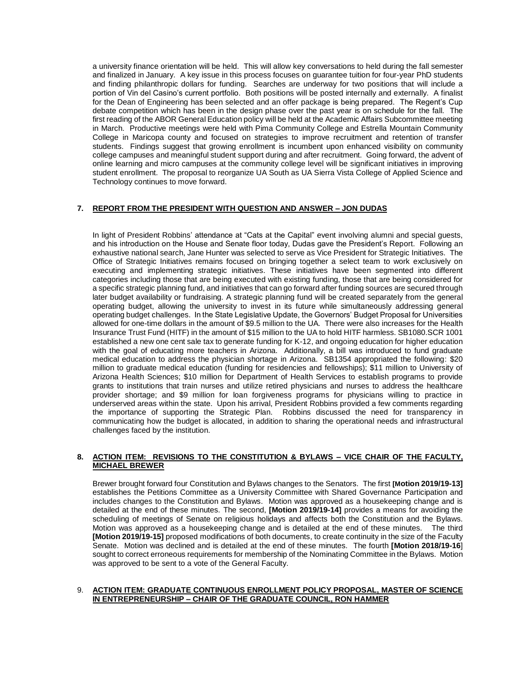a university finance orientation will be held. This will allow key conversations to held during the fall semester and finalized in January. A key issue in this process focuses on guarantee tuition for four-year PhD students and finding philanthropic dollars for funding. Searches are underway for two positions that will include a portion of Vin del Casino's current portfolio. Both positions will be posted internally and externally. A finalist for the Dean of Engineering has been selected and an offer package is being prepared. The Regent's Cup debate competition which has been in the design phase over the past year is on schedule for the fall. The first reading of the ABOR General Education policy will be held at the Academic Affairs Subcommittee meeting in March. Productive meetings were held with Pima Community College and Estrella Mountain Community College in Maricopa county and focused on strategies to improve recruitment and retention of transfer students. Findings suggest that growing enrollment is incumbent upon enhanced visibility on community college campuses and meaningful student support during and after recruitment. Going forward, the advent of online learning and micro campuses at the community college level will be significant initiatives in improving student enrollment. The proposal to reorganize UA South as UA Sierra Vista College of Applied Science and Technology continues to move forward.

## **7. REPORT FROM THE PRESIDENT WITH QUESTION AND ANSWER – JON DUDAS**

In light of President Robbins' attendance at "Cats at the Capital" event involving alumni and special guests, and his introduction on the House and Senate floor today, Dudas gave the President's Report. Following an exhaustive national search, Jane Hunter was selected to serve as Vice President for Strategic Initiatives. The Office of Strategic Initiatives remains focused on bringing together a select team to work exclusively on executing and implementing strategic initiatives. These initiatives have been segmented into different categories including those that are being executed with existing funding, those that are being considered for a specific strategic planning fund, and initiatives that can go forward after funding sources are secured through later budget availability or fundraising. A strategic planning fund will be created separately from the general operating budget, allowing the university to invest in its future while simultaneously addressing general operating budget challenges. In the State Legislative Update, the Governors' Budget Proposal for Universities allowed for one-time dollars in the amount of \$9.5 million to the UA. There were also increases for the Health Insurance Trust Fund (HITF) in the amount of \$15 million to the UA to hold HITF harmless. SB1080.SCR 1001 established a new one cent sale tax to generate funding for K-12, and ongoing education for higher education with the goal of educating more teachers in Arizona. Additionally, a bill was introduced to fund graduate medical education to address the physician shortage in Arizona. SB1354 appropriated the following: \$20 million to graduate medical education (funding for residencies and fellowships); \$11 million to University of Arizona Health Sciences; \$10 million for Department of Health Services to establish programs to provide grants to institutions that train nurses and utilize retired physicians and nurses to address the healthcare provider shortage; and \$9 million for loan forgiveness programs for physicians willing to practice in underserved areas within the state. Upon his arrival, President Robbins provided a few comments regarding the importance of supporting the Strategic Plan. Robbins discussed the need for transparency in communicating how the budget is allocated, in addition to sharing the operational needs and infrastructural challenges faced by the institution.

## **8. ACTION ITEM: REVISIONS TO THE CONSTITUTION & BYLAWS – VICE CHAIR OF THE FACULTY, MICHAEL BREWER**

Brewer brought forward four Constitution and Bylaws changes to the Senators. The first **[Motion 2019/19-13]**  establishes the Petitions Committee as a University Committee with Shared Governance Participation and includes changes to the Constitution and Bylaws. Motion was approved as a housekeeping change and is detailed at the end of these minutes. The second, **[Motion 2019/19-14]** provides a means for avoiding the scheduling of meetings of Senate on religious holidays and affects both the Constitution and the Bylaws. Motion was approved as a housekeeping change and is detailed at the end of these minutes. The third **[Motion 2019/19-15]** proposed modifications of both documents, to create continuity in the size of the Faculty Senate. Motion was declined and is detailed at the end of these minutes. The fourth **[Motion 2018/19-16**] sought to correct erroneous requirements for membership of the Nominating Committee in the Bylaws. Motion was approved to be sent to a vote of the General Faculty.

## 9. **ACTION ITEM: GRADUATE CONTINUOUS ENROLLMENT POLICY PROPOSAL, MASTER OF SCIENCE IN ENTREPRENEURSHIP – CHAIR OF THE GRADUATE COUNCIL, RON HAMMER**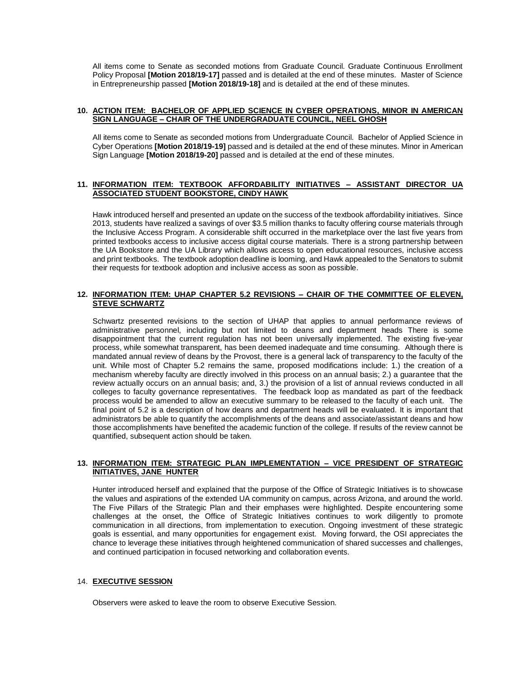All items come to Senate as seconded motions from Graduate Council. Graduate Continuous Enrollment Policy Proposal **[Motion 2018/19-17]** passed and is detailed at the end of these minutes. Master of Science in Entrepreneurship passed **[Motion 2018/19-18]** and is detailed at the end of these minutes.

### **10. ACTION ITEM: BACHELOR OF APPLIED SCIENCE IN CYBER OPERATIONS, MINOR IN AMERICAN SIGN LANGUAGE – CHAIR OF THE UNDERGRADUATE COUNCIL, NEEL GHOSH**

All items come to Senate as seconded motions from Undergraduate Council. Bachelor of Applied Science in Cyber Operations **[Motion 2018/19-19]** passed and is detailed at the end of these minutes. Minor in American Sign Language **[Motion 2018/19-20]** passed and is detailed at the end of these minutes.

## **11. INFORMATION ITEM: TEXTBOOK AFFORDABILITY INITIATIVES – ASSISTANT DIRECTOR UA ASSOCIATED STUDENT BOOKSTORE, CINDY HAWK**

Hawk introduced herself and presented an update on the success of the textbook affordability initiatives. Since 2013, students have realized a savings of over \$3.5 million thanks to faculty offering course materials through the Inclusive Access Program. A considerable shift occurred in the marketplace over the last five years from printed textbooks access to inclusive access digital course materials. There is a strong partnership between the UA Bookstore and the UA Library which allows access to open educational resources, inclusive access and print textbooks. The textbook adoption deadline is looming, and Hawk appealed to the Senators to submit their requests for textbook adoption and inclusive access as soon as possible.

## **12. INFORMATION ITEM: UHAP CHAPTER 5.2 REVISIONS – CHAIR OF THE COMMITTEE OF ELEVEN, STEVE SCHWARTZ**

Schwartz presented revisions to the section of UHAP that applies to annual performance reviews of administrative personnel, including but not limited to deans and department heads There is some disappointment that the current regulation has not been universally implemented. The existing five-year process, while somewhat transparent, has been deemed inadequate and time consuming. Although there is mandated annual review of deans by the Provost, there is a general lack of transparency to the faculty of the unit. While most of Chapter 5.2 remains the same, proposed modifications include: 1.) the creation of a mechanism whereby faculty are directly involved in this process on an annual basis; 2.) a guarantee that the review actually occurs on an annual basis; and, 3.) the provision of a list of annual reviews conducted in all colleges to faculty governance representatives. The feedback loop as mandated as part of the feedback process would be amended to allow an executive summary to be released to the faculty of each unit. The final point of 5.2 is a description of how deans and department heads will be evaluated. It is important that administrators be able to quantify the accomplishments of the deans and associate/assistant deans and how those accomplishments have benefited the academic function of the college. If results of the review cannot be quantified, subsequent action should be taken.

### **13. INFORMATION ITEM: STRATEGIC PLAN IMPLEMENTATION – VICE PRESIDENT OF STRATEGIC INITIATIVES, JANE HUNTER**

Hunter introduced herself and explained that the purpose of the Office of Strategic Initiatives is to showcase the values and aspirations of the extended UA community on campus, across Arizona, and around the world. The Five Pillars of the Strategic Plan and their emphases were highlighted. Despite encountering some challenges at the onset, the Office of Strategic Initiatives continues to work diligently to promote communication in all directions, from implementation to execution. Ongoing investment of these strategic goals is essential, and many opportunities for engagement exist. Moving forward, the OSI appreciates the chance to leverage these initiatives through heightened communication of shared successes and challenges, and continued participation in focused networking and collaboration events.

### 14. **EXECUTIVE SESSION**

Observers were asked to leave the room to observe Executive Session.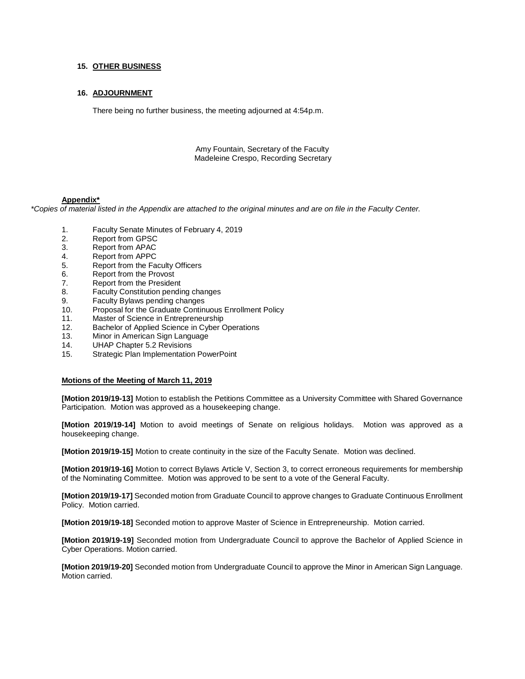## **15. OTHER BUSINESS**

### **16. ADJOURNMENT**

There being no further business, the meeting adjourned at 4:54p.m.

Amy Fountain, Secretary of the Faculty Madeleine Crespo, Recording Secretary

#### **Appendix\***

*\*Copies of material listed in the Appendix are attached to the original minutes and are on file in the Faculty Center.*

- 1. Faculty Senate Minutes of February 4, 2019
- 2. Report from GPSC
- 3. Report from APAC
- 4. Report from APPC
- 5. Report from the Faculty Officers
- 6. Report from the Provost
- 7. Report from the President
- 8. Faculty Constitution pending changes
- 9. Faculty Bylaws pending changes
- 10. Proposal for the Graduate Continuous Enrollment Policy
- 11. Master of Science in Entrepreneurship
- 12. Bachelor of Applied Science in Cyber Operations
- 13. Minor in American Sign Language
- 14. UHAP Chapter 5.2 Revisions
- 15. Strategic Plan Implementation PowerPoint

#### **Motions of the Meeting of March 11, 2019**

**[Motion 2019/19-13]** Motion to establish the Petitions Committee as a University Committee with Shared Governance Participation. Motion was approved as a housekeeping change.

**[Motion 2019/19-14]** Motion to avoid meetings of Senate on religious holidays. Motion was approved as a housekeeping change.

**[Motion 2019/19-15]** Motion to create continuity in the size of the Faculty Senate. Motion was declined.

**[Motion 2019/19-16]** Motion to correct Bylaws Article V, Section 3, to correct erroneous requirements for membership of the Nominating Committee. Motion was approved to be sent to a vote of the General Faculty.

**[Motion 2019/19-17]** Seconded motion from Graduate Council to approve changes to Graduate Continuous Enrollment Policy. Motion carried.

**[Motion 2019/19-18]** Seconded motion to approve Master of Science in Entrepreneurship. Motion carried.

**[Motion 2019/19-19]** Seconded motion from Undergraduate Council to approve the Bachelor of Applied Science in Cyber Operations. Motion carried.

**[Motion 2019/19-20]** Seconded motion from Undergraduate Council to approve the Minor in American Sign Language. Motion carried.